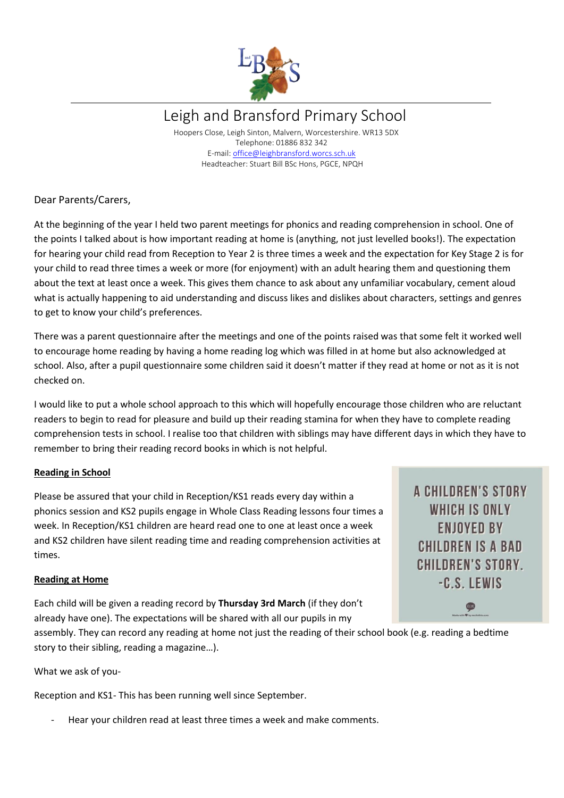

Leigh and Bransford Primary School

 Hoopers Close, Leigh Sinton, Malvern, Worcestershire. WR13 5DX Telephone: 01886 832 342 E-mail: [office@leighbransford.worcs.sch.uk](mailto:office@leighbransford.worcs.sch.uk) Headteacher: Stuart Bill BSc Hons, PGCE, NPQH

Dear Parents/Carers,

At the beginning of the year I held two parent meetings for phonics and reading comprehension in school. One of the points I talked about is how important reading at home is (anything, not just levelled books!). The expectation for hearing your child read from Reception to Year 2 is three times a week and the expectation for Key Stage 2 is for your child to read three times a week or more (for enjoyment) with an adult hearing them and questioning them about the text at least once a week. This gives them chance to ask about any unfamiliar vocabulary, cement aloud what is actually happening to aid understanding and discuss likes and dislikes about characters, settings and genres to get to know your child's preferences.

There was a parent questionnaire after the meetings and one of the points raised was that some felt it worked well to encourage home reading by having a home reading log which was filled in at home but also acknowledged at school. Also, after a pupil questionnaire some children said it doesn't matter if they read at home or not as it is not checked on.

I would like to put a whole school approach to this which will hopefully encourage those children who are reluctant readers to begin to read for pleasure and build up their reading stamina for when they have to complete reading comprehension tests in school. I realise too that children with siblings may have different days in which they have to remember to bring their reading record books in which is not helpful.

## **Reading in School**

Please be assured that your child in Reception/KS1 reads every day within a phonics session and KS2 pupils engage in Whole Class Reading lessons four times a week. In Reception/KS1 children are heard read one to one at least once a week and KS2 children have silent reading time and reading comprehension activities at times.

**A CHILDREN'S STORY** WHICH IS ONLY **ENJOYED BY CHILDREN IS A BAD CHILDREN'S STORY.** -C.S. LEWIS

## **Reading at Home**

Each child will be given a reading record by **Thursday 3rd March** (if they don't already have one). The expectations will be shared with all our pupils in my

assembly. They can record any reading at home not just the reading of their school book (e.g. reading a bedtime story to their sibling, reading a magazine…).

What we ask of you-

Reception and KS1- This has been running well since September.

Hear your children read at least three times a week and make comments.